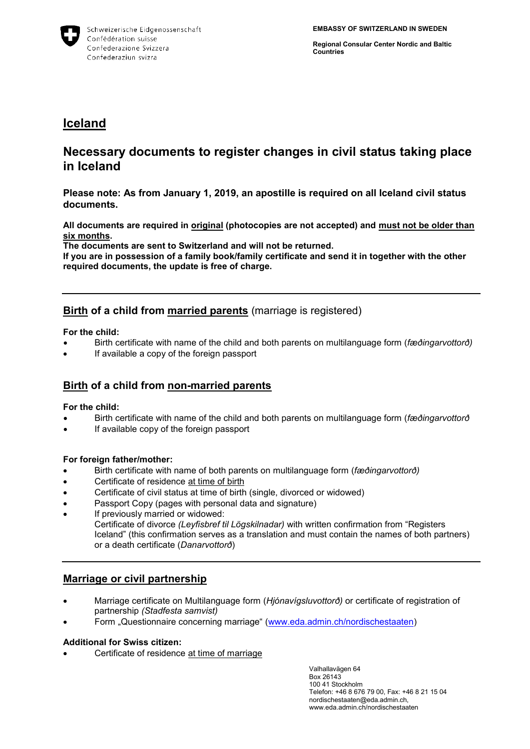

**Regional Consular Center Nordic and Baltic Countries**

# **Iceland**

# **Necessary documents to register changes in civil status taking place in Iceland**

**Please note: As from January 1, 2019, an apostille is required on all Iceland civil status documents.**

**All documents are required in original (photocopies are not accepted) and must not be older than six months.**

**The documents are sent to Switzerland and will not be returned.**

**If you are in possession of a family book/family certificate and send it in together with the other required documents, the update is free of charge.** 

## **Birth of a child from married parents** (marriage is registered)

**For the child:**

- Birth certificate with name of the child and both parents on multilanguage form (*fæðingarvottorð)*
- If available a copy of the foreign passport

## **Birth of a child from non-married parents**

#### **For the child:**

- Birth certificate with name of the child and both parents on multilanguage form (*fæðingarvottorð*
- If available copy of the foreign passport

#### **For foreign father/mother:**

- Birth certificate with name of both parents on multilanguage form (*fæðingarvottorð)*
- Certificate of residence at time of birth
- Certificate of civil status at time of birth (single, divorced or widowed)
- Passport Copy (pages with personal data and signature)
- If previously married or widowed:

Certificate of divorce *(Leyfisbref til Lögskilnadar)* with written confirmation from "Registers Iceland" (this confirmation serves as a translation and must contain the names of both partners) or a death certificate (*Danarvottorð*)

## **Marriage or civil partnership**

- Marriage certificate on Multilanguage form (*Hjónavígsluvottorð)* or certificate of registration of partnership *(Stadfesta samvist)*
- Form "Questionnaire concerning marriage" [\(www.eda.admin.ch/nordischestaaten\)](http://www.eda.admin.ch/nordischestaaten)

#### **Additional for Swiss citizen:**

Certificate of residence at time of marriage

Valhallavägen 64 Box 26143 100 41 Stockholm Telefon: +46 8 676 79 00, Fax: +46 8 21 15 04 nordischestaaten@eda.admin.ch, www.eda.admin.ch/nordischestaaten